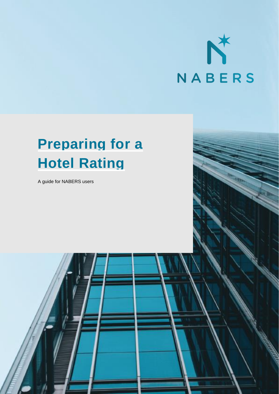

# **Preparing for a Hotel Rating**

A guide for NABERS users

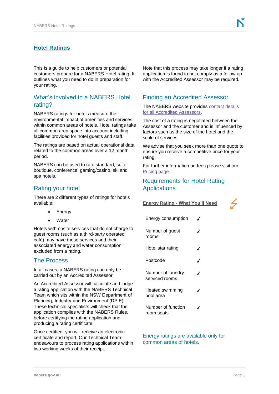# **Hotel Ratings**

This is a guide to help customers or potential customers prepare for a NABERS Hotel rating. It outlines what you need to do in preparation for your rating.

# What's involved in a NABERS Hotel rating?

NABERS ratings for hotels measure the environmental impact of amenities and services within common areas of hotels. Hotel ratings take all common area space into account including facilities provided for hotel guests and staff.

The ratings are based on actual operational data related to the common areas over a 12 month period.

NABERS can be used to rate standard, suite, boutique, conference, gaming/casino, ski and spa hotels.

# Rating your hotel

There are 2 different types of ratings for hotels available:

- **Energy**
- **Water**

Hotels with onsite services that do not charge to guest rooms (such as a third-party operated café) may have these services and their associated energy and water consumption excluded from a rating.

## The Process

In all cases, a NABERS rating can only be carried out by an Accredited Assessor.

An Accredited Assessor will calculate and lodge a rating application with the NABERS Technical Team which sits within the NSW Department of Planning, Industry and Environment (DPIE). These technical specialists will check that the application complies with the NABERS Rules, before certifying the rating application and producing a rating certificate.

Once certified, you will receive an electronic certificate and report. Our Technical Team endeavours to process rating applications within two working weeks of their receipt.

Note that this process may take longer if a rating application is found to not comply as a follow up with the Accredited Assessor may be required.

# Finding an Accredited Assessor

The NABERS website provides [contact details](http://www.nabers.gov.au/find-accredited-assessor)  [for all Accredited Assessors.](http://www.nabers.gov.au/find-accredited-assessor)

The cost of a rating is negotiated between the Assessor and the customer and is influenced by factors such as the size of the hotel and the scale of services.

We advise that you seek more than one quote to ensure you receive a competitive price for your rating.

For further information on fees please visit our [Pricing page.](http://www.nabers.gov.au/pricing)

# Requirements for Hotel Rating Applications

**Energy Rating - What You'll Need**

| Energy consumption                  |   |
|-------------------------------------|---|
| Number of guest<br>rooms            |   |
| Hotel star rating                   |   |
| Postcode                            | ℐ |
| Number of laundry<br>serviced rooms | ✔ |
| Heated swimming<br>pool area        | J |
| Number of function<br>room seats    |   |

Energy ratings are available only for common areas of hotels.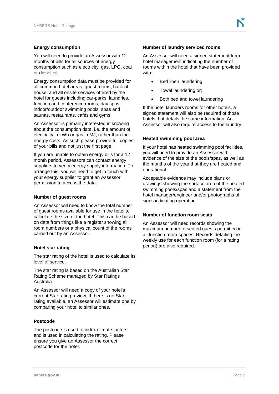## **Energy consumption**

You will need to provide an Assessor with 12 months of bills for all sources of energy consumption such as electricity, gas, LPG, coal or diesel oil.

Energy consumption data must be provided for all common hotel areas, guest rooms, back of house, and all onsite services offered by the hotel for guests including car-parks, laundries, function and conference rooms, day spas, indoor/outdoor swimming pools, spas and saunas, restaurants, cafés and gyms.

An Assessor is primarily interested in knowing about the consumption data, i.e. the amount of electricity in kWh or gas in MJ, rather than the energy costs. As such please provide full copies of your bills and not just the first page.

If you are unable to obtain energy bills for a 12 month period, Assessors can contact energy suppliers to verify energy supply information. To arrange this, you will need to get in touch with your energy supplier to grant an Assessor permission to access the data.

### **Number of guest rooms**

An Assessor will need to know the total number of guest rooms available for use in the hotel to calculate the size of the hotel. This can be based on data from things like a register showing all room numbers or a physical count of the rooms carried out by an Assessor.

#### **Hotel star rating**

The star rating of the hotel is used to calculate its level of service.

The star rating is based on the Australian Star Rating Scheme managed by Star Ratings Australia.

An Assessor will need a copy of your hotel's current Star rating review. If there is no Star rating available, an Assessor will estimate one by comparing your hotel to similar ones.

## **Postcode**

The postcode is used to index climate factors and is used in calculating the rating. Please ensure you give an Assessor the correct postcode for the hotel.

## **Number of laundry serviced rooms**

An Assessor will need a signed statement from hotel management indicating the number of rooms within the hotel that have been provided with:

- Bed linen laundering
- Towel laundering or;
- Both bed and towel laundering

If the hotel launders rooms for other hotels, a signed statement will also be required of those hotels that details the same information. An Assessor will also require access to the laundry.

## **Heated swimming pool area**

If your hotel has heated swimming pool facilities, you will need to provide an Assessor with evidence of the size of the pools/spas, as well as the months of the year that they are heated and operational.

Acceptable evidence may include plans or drawings showing the surface area of the heated swimming pools/spas and a statement from the hotel manager/engineer and/or photographs of signs indicating operation.

#### **Number of function room seats**

An Assessor will need records showing the maximum number of seated guests permitted in all function room spaces. Records detailing the weekly use for each function room (for a rating period) are also required.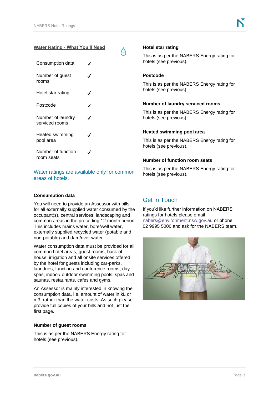## **Water Rating - What You'll Need**

| Consumption data                    |            |
|-------------------------------------|------------|
| Number of guest<br>rooms            |            |
| Hotel star rating                   | J          |
| Postcode                            |            |
| Number of laundry<br>serviced rooms | $\epsilon$ |
| Heated swimming<br>pool area        |            |
| Number of function<br>room seats    |            |

Water ratings are available only for common areas of hotels.

## **Consumption data**

You will need to provide an Assessor with bills for all externally supplied water consumed by the occupant(s), central services, landscaping and common areas in the preceding 12 month period. This includes mains water, bore/well water, externally supplied recycled water (potable and non-potable) and dam/river water.

Water consumption data must be provided for all common hotel areas, guest rooms, back of house, irrigation and all onsite services offered by the hotel for guests including car-parks, laundries, function and conference rooms, day spas, indoor/ outdoor swimming pools, spas and saunas, restaurants, cafes and gyms.

An Assessor is mainly interested in knowing the consumption data, i.e. amount of water in kL or m3, rather than the water costs. As such please provide full copies of your bills and not just the first page.

## **Number of guest rooms**

This is as per the NABERS Energy rating for hotels (see previous).

## **Hotel star rating**

This is as per the NABERS Energy rating for hotels (see previous).

## **Postcode**

This is as per the NABERS Energy rating for hotels (see previous).

### **Number of laundry serviced rooms**

This is as per the NABERS Energy rating for hotels (see previous).

#### **Heated swimming pool area**

This is as per the NABERS Energy rating for hotels (see previous).

### **Number of function room seats**

This is as per the NABERS Energy rating for hotels (see previous).

# Get in Touch

If you'd like further information on NABERS ratings for hotels please email [nabers@environment.nsw.gov.au](mailto:nabers@environment.nsw.gov.au) or phone 02 9995 5000 and ask for the NABERS team.